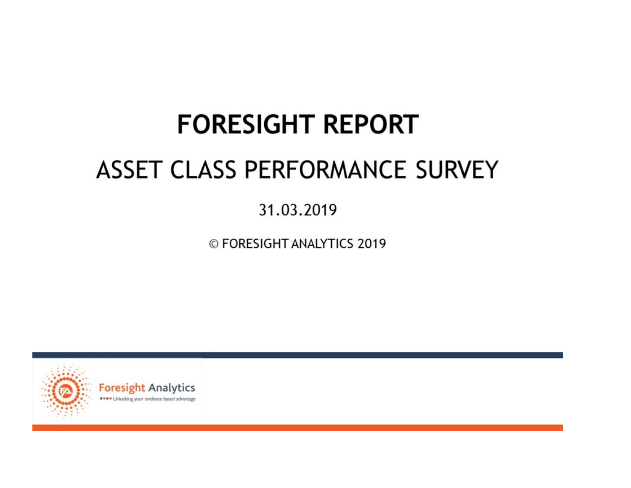# **FORESIGHT REPORT** ASSET CLASS PERFORMANCE SURVEY

31.03.2019

© FORESIGHT ANALYTICS 2019



Foresight Analytics ... Unlocking your evidence based advantage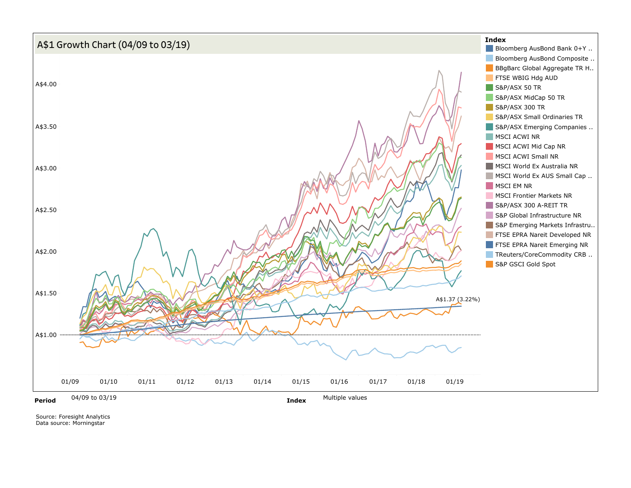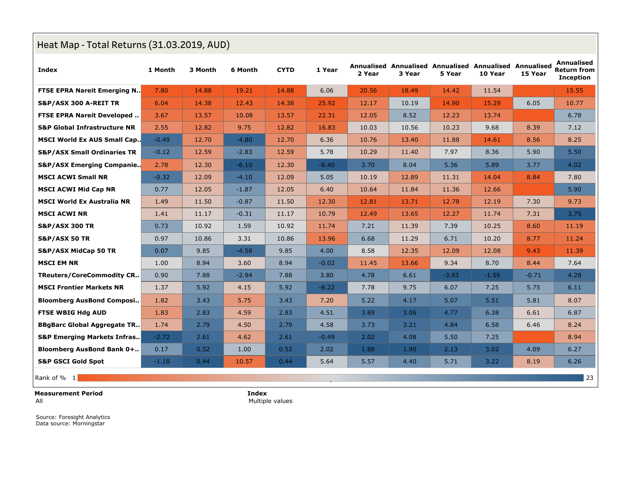# **Heat Map - Total Returns (31.03.2019, AUD)**

| Index                                   | 1 Month | 3 Month | 6 Month | <b>CYTD</b> | 1 Year  | 2 Year | 3 Year | 5 Year  | Annualised Annualised Annualised Annualised Annualised<br>10 Year | 15 Year | Annualised<br><b>Return from</b><br><b>Inception</b> |
|-----------------------------------------|---------|---------|---------|-------------|---------|--------|--------|---------|-------------------------------------------------------------------|---------|------------------------------------------------------|
| <b>FTSE EPRA Nareit Emerging N</b>      | 7.80    | 14.88   | 19.21   | 14.88       | 6.06    | 20.56  | 18.49  | 14.42   | 11.54                                                             |         | 15.55                                                |
| S&P/ASX 300 A-REIT TR                   | 6.04    | 14.38   | 12.43   | 14.38       | 25.92   | 12.17  | 10.19  | 14.90   | 15.29                                                             | 6.05    | 10.77                                                |
| <b>FTSE EPRA Nareit Developed</b>       | 3.67    | 13.57   | 10.08   | 13.57       | 22.31   | 12.05  | 8.52   | 12.23   | 13.74                                                             |         | 6.78                                                 |
| <b>S&amp;P Global Infrastructure NR</b> | 2.55    | 12.82   | 9.75    | 12.82       | 16.83   | 10.03  | 10.56  | 10.23   | 9.68                                                              | 8.39    | 7.12                                                 |
| <b>MSCI World Ex AUS Small Cap</b>      | $-0.49$ | 12.70   | $-4.80$ | 12.70       | 6.36    | 10.76  | 13.40  | 11.88   | 14.61                                                             | 8.56    | 8.25                                                 |
| <b>S&amp;P/ASX Small Ordinaries TR</b>  | $-0.12$ | 12.59   | $-2.83$ | 12.59       | 5.78    | 10.29  | 11.40  | 7.97    | 8.36                                                              | 5.90    | 5.50                                                 |
| <b>S&amp;P/ASX Emerging Companie</b>    | 2.78    | 12.30   | $-6.10$ | 12.30       | $-8.40$ | 3.70   | 8.04   | 5.36    | 5.89                                                              | 3.77    | 4.02                                                 |
| <b>MSCI ACWI Small NR</b>               | $-0.32$ | 12.09   | $-4.10$ | 12.09       | 5.05    | 10.19  | 12.89  | 11.31   | 14.04                                                             | 8.84    | 7.80                                                 |
| <b>MSCI ACWI Mid Cap NR</b>             | 0.77    | 12.05   | $-1.87$ | 12.05       | 6.40    | 10.64  | 11.84  | 11.36   | 12.66                                                             |         | 5.90                                                 |
| <b>MSCI World Ex Australia NR</b>       | 1.49    | 11.50   | $-0.87$ | 11.50       | 12.30   | 12.81  | 13.71  | 12.78   | 12.19                                                             | 7.30    | 9.73                                                 |
| <b>MSCI ACWI NR</b>                     | 1.41    | 11.17   | $-0.31$ | 11.17       | 10.79   | 12.49  | 13.65  | 12.27   | 11.74                                                             | 7.31    | 3.75                                                 |
| <b>S&amp;P/ASX 300 TR</b>               | 0.73    | 10.92   | 1.59    | 10.92       | 11.74   | 7.21   | 11.39  | 7.39    | 10.25                                                             | 8.60    | 11.19                                                |
| <b>S&amp;P/ASX 50 TR</b>                | 0.97    | 10.86   | 3.31    | 10.86       | 13.96   | 6.68   | 11.29  | 6.71    | 10.20                                                             | 8.77    | 11.24                                                |
| <b>S&amp;P/ASX MidCap 50 TR</b>         | 0.07    | 9.85    | $-4.58$ | 9.85        | 4.00    | 8.58   | 12.35  | 12.09   | 12.08                                                             | 9.43    | 11.39                                                |
| <b>MSCI EM NR</b>                       | 1.00    | 8.94    | 3.60    | 8.94        | $-0.02$ | 11.45  | 13.66  | 9.34    | 8.70                                                              | 8.44    | 7.64                                                 |
| <b>TReuters/CoreCommodity CR</b>        | 0.90    | 7.88    | $-2.94$ | 7.88        | 3.80    | 4.78   | 6.61   | $-3.93$ | $-1.59$                                                           | $-0.71$ | 4.28                                                 |
| <b>MSCI Frontier Markets NR</b>         | 1.37    | 5.92    | 4.15    | 5.92        | $-8.22$ | 7.78   | 9.75   | 6.07    | 7.25                                                              | 5.75    | 6.11                                                 |
| <b>Bloomberg AusBond Composi</b>        | 1.82    | 3.43    | 5.75    | 3.43        | 7.20    | 5.22   | 4.17   | 5.07    | 5.51                                                              | 5.81    | 8.07                                                 |
| <b>FTSE WBIG Hdg AUD</b>                | 1.83    | 2.83    | 4.59    | 2.83        | 4.51    | 3.69   | 3.06   | 4.77    | 6.38                                                              | 6.61    | 6.87                                                 |
| <b>BBgBarc Global Aggregate TR</b>      | 1.74    | 2.79    | 4.50    | 2.79        | 4.58    | 3.73   | 3.21   | 4.84    | 6.58                                                              | 6.46    | 8.24                                                 |
| <b>S&amp;P Emerging Markets Infras</b>  | $-2.72$ | 2.61    | 4.62    | 2.61        | $-0.49$ | 2.02   | 4.08   | 5.50    | 7.25                                                              |         | 8.94                                                 |
| <b>Bloomberg AusBond Bank 0+</b>        | 0.17    | 0.52    | 1.00    | 0.52        | 2.02    | 1.88   | 1.90   | 2.13    | 3.02                                                              | 4.09    | 6.27                                                 |
| <b>S&amp;P GSCI Gold Spot</b>           | $-1.18$ | 0.44    | 10.57   | 0.44        | 5.64    | 5.57   | 4.40   | 5.71    | 3.22                                                              | 8.19    | 6.26                                                 |
| Rank of % 1                             |         |         |         |             |         |        |        |         |                                                                   |         | 23                                                   |

**Measurement Period**

All

**Index** Multiple values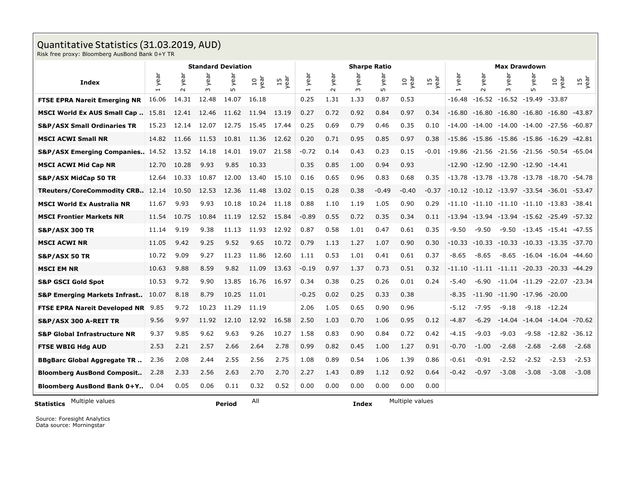# **Quantitative Statistics (31.03.2019, AUD)**

Risk free proxy: Bloomberg AusBond Bank 0+Y TR

|                                         | <b>Standard Deviation</b> |                |                               |             |             |            |                        |                | <b>Sharpe Ratio</b>           |             |                     |            | <b>Max Drawdown</b> |                |                                              |                                     |                                              |                  |  |
|-----------------------------------------|---------------------------|----------------|-------------------------------|-------------|-------------|------------|------------------------|----------------|-------------------------------|-------------|---------------------|------------|---------------------|----------------|----------------------------------------------|-------------------------------------|----------------------------------------------|------------------|--|
| <b>Index</b>                            | year                      | year<br>$\sim$ | ēā<br>$\rightarrow$<br>$\sim$ | year<br>LO. | neay<br>Vea | 15<br>year | year<br>$\overline{ }$ | year<br>$\sim$ | ar<br>$\rightarrow$<br>$\sim$ | year<br>LO. | $\frac{10}{\gamma}$ | 15<br>year | year                | year<br>$\sim$ | year<br>$\sim$                               | ēā<br>$\rightarrow$<br>$\mathsf{L}$ | 10<br>year                                   | 15<br>year       |  |
| <b>FTSE EPRA Nareit Emerging NR</b>     | 16.06                     | 14.31          | 12.48                         | 14.07       | 16.18       |            | 0.25                   | 1.31           | 1.33                          | 0.87        | 0.53                |            | $-16.48$            |                | $-16.52 -16.52 -19.49$                       |                                     | $-33.87$                                     |                  |  |
| MSCI World Ex AUS Small Cap             | 15.81                     | 12.41          | 12.46                         | 11.62       | 11.94       | 13.19      | 0.27                   | 0.72           | 0.92                          | 0.84        | 0.97                | 0.34       | $-16.80$            |                |                                              |                                     | $-16.80$ $-16.80$ $-16.80$ $-16.80$ $-43.87$ |                  |  |
| <b>S&amp;P/ASX Small Ordinaries TR</b>  | 15.23                     | 12.14          | 12.07                         | 12.75       | 15.45       | 17.44      | 0.25                   | 0.69           | 0.79                          | 0.46        | 0.35                | 0.10       | $-14.00$            |                | $-14.00$ $-14.00$ $-14.00$                   |                                     | -27.56 -60.87                                |                  |  |
| <b>MSCI ACWI Small NR</b>               | 14.82                     | 11.66          | 11.53                         | 10.81       | 11.36       | 12.62      | 0.20                   | 0.71           | 0.95                          | 0.85        | 0.97                | 0.38       | $-15.86$            |                |                                              |                                     | $-15.86$ $-15.86$ $-15.86$ $-16.29$ $-42.81$ |                  |  |
| <b>S&amp;P/ASX Emerging Companies</b>   | 14.52                     | 13.52          | 14.18                         | 14.01       | 19.07       | 21.58      | $-0.72$                | 0.14           | 0.43                          | 0.23        | 0.15                | $-0.01$    | $-19.86$            |                | $-21.56$ $-21.56$ $-21.56$                   |                                     | -50.54 -65.04                                |                  |  |
| <b>MSCI ACWI Mid Cap NR</b>             | 12.70                     | 10.28          | 9.93                          | 9.85        | 10.33       |            | 0.35                   | 0.85           | 1.00                          | 0.94        | 0.93                |            |                     |                | $-12.90$ $-12.90$ $-12.90$ $-12.90$ $-14.41$ |                                     |                                              |                  |  |
| <b>S&amp;P/ASX MidCap 50 TR</b>         | 12.64                     | 10.33          | 10.87                         | 12.00       | 13.40       | 15.10      | 0.16                   | 0.65           | 0.96                          | 0.83        | 0.68                | 0.35       | $-13.78$            |                | $-13.78$ $-13.78$ $-13.78$                   |                                     | -18.70 -54.78                                |                  |  |
| TReuters/CoreCommodity CRB              | 12.14                     | 10.50          | 12.53                         | 12.36       | 11.48       | 13.02      | 0.15                   | 0.28           | 0.38                          | $-0.49$     | $-0.40$             | $-0.37$    |                     |                | $-10.12$ $-10.12$ $-13.97$ $-33.54$          |                                     | -36.01 -53.47                                |                  |  |
| <b>MSCI World Ex Australia NR</b>       | 11.67                     | 9.93           | 9.93                          | 10.18       | 10.24       | 11.18      | 0.88                   | 1.10           | 1.19                          | 1.05        | 0.90                | 0.29       | $-11.10$            |                |                                              |                                     | $-11.10$ $-11.10$ $-11.10$ $-13.83$ $-38.41$ |                  |  |
| <b>MSCI Frontier Markets NR</b>         | 11.54                     | 10.75          | 10.84                         | 11.19       | 12.52       | 15.84      | $-0.89$                | 0.55           | 0.72                          | 0.35        | 0.34                | 0.11       | $-13.94$            |                |                                              |                                     | $-13.94$ $-13.94$ $-15.62$ $-25.49$ $-57.32$ |                  |  |
| <b>S&amp;P/ASX 300 TR</b>               | 11.14                     | 9.19           | 9.38                          | 11.13       | 11.93       | 12.92      | 0.87                   | 0.58           | 1.01                          | 0.47        | 0.61                | 0.35       | $-9.50$             | $-9.50$        |                                              | $-9.50 - 13.45$                     | -15.41 -47.55                                |                  |  |
| <b>MSCI ACWI NR</b>                     | 11.05                     | 9.42           | 9.25                          | 9.52        | 9.65        | 10.72      | 0.79                   | 1.13           | 1.27                          | 1.07        | 0.90                | 0.30       | $-10.33$            |                |                                              |                                     | $-10.33 - 10.33 - 10.33 - 13.35 - 37.70$     |                  |  |
| <b>S&amp;P/ASX 50 TR</b>                | 10.72                     | 9.09           | 9.27                          | 11.23       | 11.86       | 12.60      | 1.11                   | 0.53           | 1.01                          | 0.41        | 0.61                | 0.37       | $-8.65$             | $-8.65$        | $-8.65$                                      |                                     | -16.04 -16.04 -44.60                         |                  |  |
| <b>MSCI EM NR</b>                       | 10.63                     | 9.88           | 8.59                          | 9.82        | 11.09       | 13.63      | $-0.19$                | 0.97           | 1.37                          | 0.73        | 0.51                | 0.32       | $-11.10$            |                | $-11.11 -11.11 -20.33$                       |                                     | -20.33 -44.29                                |                  |  |
| <b>S&amp;P GSCI Gold Spot</b>           | 10.53                     | 9.72           | 9.90                          | 13.85       | 16.76       | 16.97      | 0.34                   | 0.38           | 0.25                          | 0.26        | 0.01                | 0.24       | $-5.40$             | -6.90          | $-11.04 -11.29$                              |                                     | $-22.07 - 23.34$                             |                  |  |
| <b>S&amp;P Emerging Markets Infrast</b> | 10.07                     | 8.18           | 8.79                          | 10.25       | 11.01       |            | $-0.25$                | 0.02           | 0.25                          | 0.33        | 0.38                |            | $-8.35$             |                | $-11.90 -11.90 -17.96$                       |                                     | $-20.00$                                     |                  |  |
| <b>FTSE EPRA Nareit Developed NR</b>    | 9.85                      | 9.72           | 10.23                         | 11.29       | 11.19       |            | 2.06                   | 1.05           | 0.65                          | 0.90        | 0.96                |            | $-5.12$             | $-7.95$        | $-9.18$                                      | $-9.18$                             | $-12.24$                                     |                  |  |
| S&P/ASX 300 A-REIT TR                   | 9.56                      | 9.97           | 11.92                         | 12.10       | 12.92       | 16.58      | 2.50                   | 1.03           | 0.70                          | 1.06        | 0.95                | 0.12       | $-4.87$             | $-6.29$        | $-14.04$                                     | $-14.04$                            | $-14.04$ $-70.62$                            |                  |  |
| <b>S&amp;P Global Infrastructure NR</b> | 9.37                      | 9.85           | 9.62                          | 9.63        | 9.26        | 10.27      | 1.58                   | 0.83           | 0.90                          | 0.84        | 0.72                | 0.42       | -4.15               | $-9.03$        | $-9.03$                                      | $-9.58$                             |                                              | $-12.82 - 36.12$ |  |
| FTSE WBIG Hdg AUD                       | 2.53                      | 2.21           | 2.57                          | 2.66        | 2.64        | 2.78       | 0.99                   | 0.82           | 0.45                          | 1.00        | 1.27                | 0.91       | $-0.70$             | $-1.00$        | $-2.68$                                      | $-2.68$                             | $-2.68$                                      | $-2.68$          |  |
| <b>BBgBarc Global Aggregate TR</b>      | 2.36                      | 2.08           | 2.44                          | 2.55        | 2.56        | 2.75       | 1.08                   | 0.89           | 0.54                          | 1.06        | 1.39                | 0.86       | -0.61               | $-0.91$        | $-2.52$                                      | $-2.52$                             | $-2.53$                                      | $-2.53$          |  |
| <b>Bloomberg AusBond Composit</b>       | 2.28                      | 2.33           | 2.56                          | 2.63        | 2.70        | 2.70       | 2.27                   | 1.43           | 0.89                          | 1.12        | 0.92                | 0.64       | $-0.42$             | $-0.97$        | $-3.08$                                      | $-3.08$                             | $-3.08$                                      | $-3.08$          |  |
| <b>Bloomberg AusBond Bank 0+Y</b>       | 0.04                      | 0.05           | 0.06                          | 0.11        | 0.32        | 0.52       | 0.00                   | 0.00           | 0.00                          | 0.00        | 0.00                | 0.00       |                     |                |                                              |                                     |                                              |                  |  |
| Multiple values<br><b>Statistics</b>    |                           |                |                               | Period      | All         |            |                        |                | Index                         |             | Multiple values     |            |                     |                |                                              |                                     |                                              |                  |  |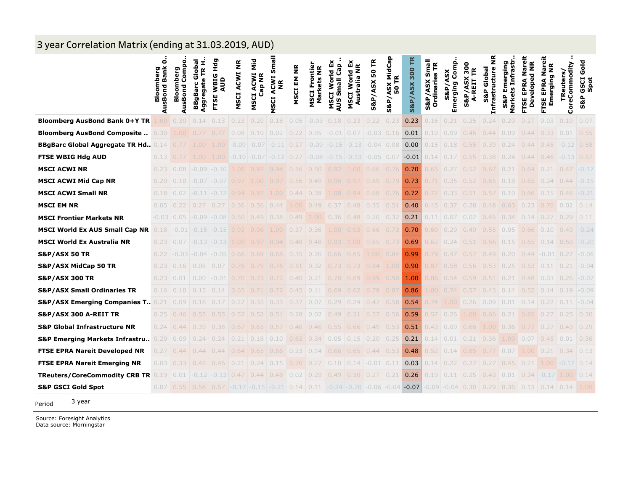| 3 year Correlation Matrix (ending at 31.03.2019, AUD) |                                |                                                                                                   |                                             |                                            |                        |                          |                                                             |                      |                                    |                                            |                                           |                          |                         |                           |                                |                                     |                                 |                                                      |                                                    |                                        |                                                         |                          |                             |
|-------------------------------------------------------|--------------------------------|---------------------------------------------------------------------------------------------------|---------------------------------------------|--------------------------------------------|------------------------|--------------------------|-------------------------------------------------------------|----------------------|------------------------------------|--------------------------------------------|-------------------------------------------|--------------------------|-------------------------|---------------------------|--------------------------------|-------------------------------------|---------------------------------|------------------------------------------------------|----------------------------------------------------|----------------------------------------|---------------------------------------------------------|--------------------------|-----------------------------|
|                                                       | 0<br>AusBond Bank<br>Bloomberg | Compo<br>Bloomberg<br>AusBond                                                                     | Aggregate TR H.<br>Global<br><b>BBgBarc</b> | <b>DPH</b><br><b>WBIG</b><br>AUD<br>ш<br>E | <b>ACWINR</b><br>MSCI. | Ξ<br>MSCI ACWI<br>Cap NR | Small<br><b>ACWI</b><br>$\tilde{\mathbf{z}}$<br><b>NSCI</b> | EM NR<br><b>MSCI</b> | <b>MSCI Frontier</b><br>Markets NR | ă<br>Gap<br>MSCI World<br><b>AUS Small</b> | ѽ<br>Australia NR<br>World<br><b>MSCI</b> | <b>S&amp;P/ASX 50 TR</b> | S&P/ASX MidCap<br>50 TR | <b>S&amp;P/ASX 300 TR</b> | S&P/ASX Small<br>Ordinaries TR | Comp<br>/ASX<br>merging<br>S&P<br>ш | 300<br>F<br>ĂŜ<br>A-REIT<br>S&P | $\tilde{\mathbf{z}}$<br>Infrastructure<br>S&P Global | Markets Infrastr<br>Emerging<br>S&P                | Nareit<br>Developed NR<br>EPRA<br>FTSE | ō<br>$\frac{\alpha}{2}$<br>EPRA Nar<br>Emerging<br>FTSE | CoreCommodity<br>Reuters | Gold<br>GSCI<br>Spot<br>S&P |
| <b>Bloomberg AusBond Bank 0+Y TR</b>                  | .00                            | 0.30                                                                                              | 0.14                                        | 0.13                                       | 0.23                   | 0.20                     | 0.18                                                        | 0.05                 | $-0.03$                            | 0.18                                       | 0.23                                      | 0.22                     | 0.23                    | 0.23                      | 0.16                           | 0.21                                | 0.25                            | 0.24                                                 | 0.20                                               |                                        | 0.03                                                    | 0.19                     | 0.07                        |
| <b>Bloomberg AusBond Composite</b>                    | 0.30                           |                                                                                                   |                                             |                                            | 0.08                   |                          | 0.02                                                        |                      |                                    |                                            | (1)                                       | -0.03                    | 0.16                    | 0.01                      | 0.10                           | 0.09                                |                                 | 0.44                                                 | 0.09                                               | 0.44                                   |                                                         | 0.01                     | 0.55                        |
| <b>BBgBarc Global Aggregate TR Hd., 0.14</b>          |                                |                                                                                                   |                                             |                                            | -0.09                  | -0.07                    |                                                             | 0.27                 | -0.09                              |                                            | -0.13                                     | $-0.04$ 0.08             |                         | 0.00                      | 0.15                           |                                     |                                 | 0.39                                                 |                                                    | 0.44                                   |                                                         | -0.12                    | 0.58                        |
| <b>FTSE WBIG Hdg AUD</b>                              | 0.13                           |                                                                                                   |                                             |                                            |                        | $-0.10$ $-0.07$          |                                                             |                      | $-0.08$                            |                                            |                                           | $-0.05$ 0.07             |                         | $-0.01$                   |                                |                                     |                                 | 0.38                                                 | 0.24                                               | 0.44                                   | 0,46                                                    |                          | 0.57                        |
| <b>MSCI ACWI NR</b>                                   | 0.23                           | 0.08                                                                                              | -0.09                                       | -0.10                                      |                        |                          |                                                             | 0.56                 |                                    |                                            | 1.00.                                     | 0.66                     | 0.76                    | 0.70                      | 0.65                           |                                     |                                 |                                                      |                                                    | 0.64                                   |                                                         | 0.47                     | $-0.17$                     |
| <b>MSCI ACWI Mid Cap NR</b>                           | 0.20                           | 0.10                                                                                              | -0.07                                       | -0.07                                      |                        |                          |                                                             |                      |                                    |                                            |                                           | 0.69                     | 0.79                    | 0.73                      |                                |                                     |                                 |                                                      | 0.18                                               | 0.65                                   |                                                         | 0.44                     | $-0.15$                     |
| <b>MSCI ACWI Small NR</b>                             | 0.18                           | 0.02                                                                                              |                                             | $-0.12$                                    |                        |                          |                                                             |                      | 0.38                               |                                            | 0.94                                      | 0.68                     | 0.76                    | 0.72                      |                                |                                     |                                 |                                                      | 0.10                                               | 0.66                                   | 0.15                                                    | 0.48                     | $-0.21$                     |
| <b>MSCI EM NR</b>                                     | 0.05                           |                                                                                                   |                                             |                                            |                        |                          |                                                             |                      |                                    |                                            | 0.48                                      | 0.35                     | 0.51                    | 0.40                      |                                |                                     | 0.28                            | 0.48                                                 | 0.63                                               | 0,23                                   |                                                         | 0.02                     | 0.14                        |
| <b>MSCI Frontier Markets NR</b>                       |                                | $-0.03$ 0.05                                                                                      | $-0.09$                                     | $-0.08$ 0.50                               |                        | (149                     |                                                             |                      |                                    |                                            | 0.48                                      | 0.20                     | 0.32                    | 0.21                      | 0.11                           | 0.07                                | 0.02                            | 0.46                                                 | 0.34                                               | 0.14                                   |                                                         | 0.29                     | 0.11                        |
| <b>MSCI World Ex AUS Small Cap NR</b>                 | 0.18                           | -0.01                                                                                             | -0.15                                       | -0.15                                      |                        |                          |                                                             |                      |                                    |                                            | 0.93                                      | 0.66                     | 0.71                    | 0.70                      | 0.69                           | 0.29                                | 0.49                            | 0.55                                                 | 0.05                                               | 0.66                                   | 0.10                                                    | 0.49                     | $-0.24$                     |
| <b>MSCI World Ex Australia NR</b>                     | 0.23                           | 0.07                                                                                              |                                             | $-0.13$                                    |                        |                          | 094                                                         | 048                  | 048                                |                                            |                                           |                          | 0.73                    | 0.69                      | 0.62                           |                                     |                                 | 0.66                                                 | 0.15                                               | 0.65                                   | 0.14                                                    | 0.50                     | $-0.20$                     |
| <b>S&amp;P/ASX 50 TR</b>                              |                                | -0.03                                                                                             |                                             | -0.05                                      |                        |                          |                                                             |                      |                                    |                                            |                                           |                          | 0.84                    | 0.99                      |                                |                                     |                                 | 0.49                                                 | 0.20                                               | 0.44                                   | -0.01                                                   | 0.27                     | $-0.06$                     |
| <b>S&amp;P/ASX MidCap 50 TR</b>                       | 0.23                           | 0.16                                                                                              | 0.08                                        | 0.07                                       |                        |                          |                                                             |                      |                                    |                                            |                                           | 0.84                     | 1,00                    | 0.90                      |                                |                                     |                                 |                                                      |                                                    | 0.53                                   | 0.11                                                    | 0.21                     | $-0.04$                     |
| <b>S&amp;P/ASX 300 TR</b>                             | 0.23                           | 0.01                                                                                              | 0.00                                        | -0.01                                      |                        |                          |                                                             | 0.40                 |                                    |                                            | 0.69                                      | 0.99                     | 0.90                    | 1.00                      |                                |                                     |                                 |                                                      | 0.21                                               | 0.48                                   | 0.03                                                    | 0.26                     | $-0.07$                     |
| <b>S&amp;P/ASX Small Ordinaries TR</b>                | 0.16                           |                                                                                                   |                                             |                                            |                        |                          |                                                             |                      |                                    |                                            |                                           |                          | 0.81                    | 0.86                      |                                |                                     |                                 |                                                      |                                                    |                                        | 0.14                                                    | 0.19                     | $-0.09$                     |
| <b>S&amp;P/ASX Emerging Companies T</b> 0.21          |                                | 0.09                                                                                              | 0.18                                        | 0.17                                       |                        |                          |                                                             |                      | 0.07                               |                                            | 0.24                                      | 0.47                     | 0.58                    | 0.54                      |                                |                                     | 0.26                            | 0.09                                                 | 0.01                                               | 0.14                                   | 0.22                                                    | 0.11                     | $-0.04$                     |
| S&P/ASX 300 A-REIT TR                                 | 0.25                           | 0.46                                                                                              |                                             |                                            |                        |                          |                                                             | 0.28                 | 0.02                               |                                            | 0.51                                      | 0.57                     | 0.56                    | 0.59                      | 0.57                           | 0.26                                |                                 | 0.66                                                 | 0.21                                               |                                        |                                                         | 0.25                     | 0.30                        |
| <b>S&amp;P Global Infrastructure NR</b>               | 0.24                           | () 44                                                                                             |                                             | 0.38                                       | 0.6/                   | 065                      | 0.57                                                        | 0.48                 | 0.46                               |                                            | 0.66                                      | 0.49                     | 0.53                    | 0.51                      | 0.43                           | 0.09                                | 0.66                            | 1 OO                                                 | 0.36                                               | 0.77                                   | 0.27                                                    | 0.43                     | 0.29                        |
| <b>S&amp;P Emerging Markets Infrastru</b>             | 0.20                           |                                                                                                   |                                             |                                            |                        |                          |                                                             |                      |                                    |                                            | 0.15                                      | 0.20                     | 0.25                    | 0.21                      | 0.14                           | 0.01                                | 0.21                            | 0.36                                                 |                                                    | 0.07                                   |                                                         | 0.01                     | 0.36                        |
| <b>FTSE EPRA Nareit Developed NR</b>                  | 0.27                           |                                                                                                   |                                             | 0.44                                       |                        |                          | 0.66                                                        |                      |                                    |                                            | 0.65                                      | 0.44                     | 0.53                    | 0.48                      | 0.52                           |                                     |                                 |                                                      | 0.07                                               | 1.00                                   |                                                         | 0.34                     | 0.13                        |
| <b>FTSE EPRA Nareit Emerging NR</b>                   | 0.03                           |                                                                                                   |                                             |                                            |                        |                          |                                                             |                      |                                    |                                            |                                           | -0.01                    | 0.11                    | 0.03                      | 0.14                           |                                     |                                 |                                                      | 0.45                                               |                                        |                                                         |                          | 0.14                        |
| <b>TReuters/CoreCommodity CRB TR</b>                  | 0.19                           | 0.01                                                                                              | $-0.12$                                     | $-0.13$                                    | (147)                  | () 44                    | 0.48                                                        | 0.02                 | 0.29                               | 0.49                                       | $0.50 \pm 0.27$                           |                          | 0.21                    | 0.26                      | 0.19                           | 0.11                                | 0.25                            | (143                                                 | 0.01                                               | 0.34                                   | $-0.17$                                                 | 1.00                     | 0.14                        |
| <b>S&amp;P GSCI Gold Spot</b>                         |                                | $0.07$   0.55   0.58   0.57   -0.17   -0.15   -0.21   0.14   0.11   -0.24   -0.20   -0.06   -0.04 |                                             |                                            |                        |                          |                                                             |                      |                                    |                                            |                                           |                          |                         | $-0.07$                   |                                |                                     |                                 |                                                      | $-0.09$ $-0.04$ 0.30 0.29 0.36 0.13 0.14 0.14 1.00 |                                        |                                                         |                          |                             |
| 3 year<br>Period                                      |                                |                                                                                                   |                                             |                                            |                        |                          |                                                             |                      |                                    |                                            |                                           |                          |                         |                           |                                |                                     |                                 |                                                      |                                                    |                                        |                                                         |                          |                             |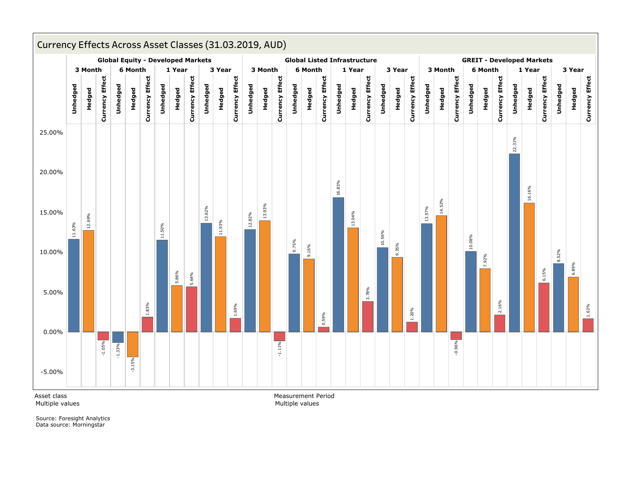

Asset class Multiple values Measurement Period Multiple values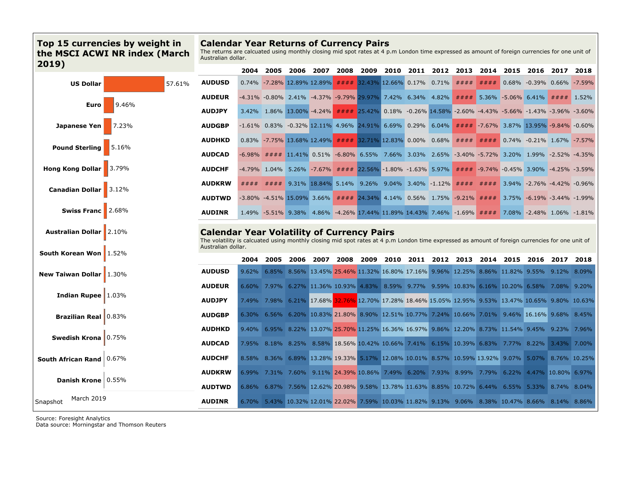# **Top 15 currencies by weight in the MSCI ACWI NR index (March 2019)**

#### **Calendar Year Returns of Currency Pairs**

The returns are calcuated using monthly closing mid spot rates at 4 p.m London time expressed as amount of foreign currencies for one unit of Australian dollar.

| ZUIJ)                            |        |                                                                                                                                                                                                      | 2004     | 2005 | 2006                       | 2007 | 2008    | 2009                                                                                                                                       | 2010 | 2011 | 2012  | 2013              | 2014    | 2015                                                 | 2016                      | 2017        | 2018 |
|----------------------------------|--------|------------------------------------------------------------------------------------------------------------------------------------------------------------------------------------------------------|----------|------|----------------------------|------|---------|--------------------------------------------------------------------------------------------------------------------------------------------|------|------|-------|-------------------|---------|------------------------------------------------------|---------------------------|-------------|------|
| <b>US Dollar</b>                 | 57.61% | <b>AUDUSD</b>                                                                                                                                                                                        | 0.74%    |      | -7.28% 12.89% 12.89%       |      | # # # # | $32.43\%$ 12.66% 0.17%                                                                                                                     |      |      | 0.71% | ####              | # # # # |                                                      | 0.68% -0.39% 0.66% -7.59% |             |      |
|                                  |        | <b>AUDEUR</b>                                                                                                                                                                                        |          |      |                            |      |         | -4.31% -0.80% 2.41% -4.37% -9.79% 29.97% 7.42% 6.34% 4.82%                                                                                 |      |      |       |                   |         | $\# \# \# \#$ 5.36% -5.06% 6.41% $\# \# \# \#$ 1.52% |                           |             |      |
| Euro                             | 9.46%  | <b>AUDJPY</b>                                                                                                                                                                                        |          |      | 3.42% 1.86% 13.00% -4.24%  |      |         | #### 25.42% 0.18% -0.26% 14.58% -2.60% -4.43% -5.66% -1.43% -3.96% -3.60%                                                                  |      |      |       |                   |         |                                                      |                           |             |      |
| Japanese Yen                     | 7.23%  | <b>AUDGBP</b>                                                                                                                                                                                        |          |      |                            |      |         | $-1.61\%$ 0.83% $-0.32\%$ 12.11% 4.96% 24.91% 6.69% 0.29% 6.04%                                                                            |      |      |       |                   |         | $\# \# \# \#$ -7.67% 3.87% 13.95% -9.84% -0.60%      |                           |             |      |
| <b>Pound Sterling</b>            | 5.16%  | <b>AUDHKD</b>                                                                                                                                                                                        |          |      | 0.83% -7.75% 13.68% 12.49% |      |         | $\# \# \# \#$ 32.71% 12.83% 0.00% 0.68%                                                                                                    |      |      |       | # # # # # # # # # |         |                                                      | 0.74% -0.21% 1.67% -7.57% |             |      |
|                                  |        | <b>AUDCAD</b>                                                                                                                                                                                        |          |      |                            |      |         | -6.98% #### 11.41% 0.51% -6.80% 6.55% 7.66% 3.03% 2.65% -3.40% -5.72% 3.20% 1.99% -2.52% -4.35%                                            |      |      |       |                   |         |                                                      |                           |             |      |
| <b>Hong Kong Dollar</b>          | 13.79% | <b>AUDCHF</b>                                                                                                                                                                                        |          |      |                            |      |         | -4.79% 1.04% 5.26% -7.67% #### 22.56% -1.80% -1.63% 5.97% #### -9.74% -0.45% 3.90% -4.25% -3.59%                                           |      |      |       |                   |         |                                                      |                           |             |      |
| <b>Canadian Dollar</b> 3.12%     |        | <b>AUDKRW</b>                                                                                                                                                                                        | ####     |      |                            |      |         | #### 9.31% 18.84% 5.14% 9.26% 9.04% 3.40% -1.12% #### ####                                                                                 |      |      |       |                   |         | $3.94\%$ -2.76% -4.42% -0.96%                        |                           |             |      |
|                                  |        | <b>AUDTWD</b>                                                                                                                                                                                        |          |      |                            |      |         | -3.80% -4.51% 15.09% 3.66% #### 24.34% 4.14% 0.56% 1.75% -9.21% #### 3.75% -6.19% -3.44% -1.99%                                            |      |      |       |                   |         |                                                      |                           |             |      |
| <b>Swiss Franc</b>               | 2.68%  | <b>AUDINR</b>                                                                                                                                                                                        |          |      |                            |      |         | $1.49\%$ $-5.51\%$ 9.38% 4.86% $-4.26\%$ 17.44% 11.89% 14.43% 7.46% $-1.69\%$ #### 7.08% $-2.48\%$ 1.06% $-1.81\%$                         |      |      |       |                   |         |                                                      |                           |             |      |
| <b>Australian Dollar   2.10%</b> |        | <b>Calendar Year Volatility of Currency Pairs</b><br>The volatility is calcuated using monthly closing mid spot rates at 4 p.m London time expressed as amount of foreign currencies for one unit of |          |      |                            |      |         |                                                                                                                                            |      |      |       |                   |         |                                                      |                           |             |      |
| <b>South Korean Won</b>   1.52%  |        | Australian dollar.                                                                                                                                                                                   | 2004     | 2005 | 2006                       | 2007 | 2008    | 2009                                                                                                                                       | 2010 | 2011 | 2012  | 2013              | 2014    | 2015                                                 | 2016                      | 2017        | 2018 |
| <b>New Taiwan Dollar   1.30%</b> |        | <b>AUDUSD</b>                                                                                                                                                                                        | 9.62%    |      |                            |      |         | 6.85% 8.56% 13.45% 25.46% 11.32% 16.80% 17.16% 9.96% 12.25% 8.86% 11.82% 9.55% 9.12% 8.09%                                                 |      |      |       |                   |         |                                                      |                           |             |      |
|                                  |        | <b>AUDEUR</b>                                                                                                                                                                                        |          |      |                            |      |         | $6.60\%$ $7.97\%$ $6.27\%$ $11.36\%$ $10.93\%$ $4.83\%$ $8.59\%$ $9.77\%$ $9.59\%$ $10.83\%$ $6.16\%$ $10.20\%$ $6.58\%$ $7.08\%$ $9.20\%$ |      |      |       |                   |         |                                                      |                           |             |      |
| Indian Rupee 1.03%               |        | <b>AUDJPY</b>                                                                                                                                                                                        | 7.49%    |      |                            |      |         | 7.98% 6.21% 17.68% 32.76% 12.70% 17.28% 18.46% 15.05% 12.95% 9.53% 13.47% 10.65% 9.80% 10.63%                                              |      |      |       |                   |         |                                                      |                           |             |      |
| <b>Brazilian Real</b> 0.83%      |        | <b>AUDGBP</b>                                                                                                                                                                                        | 6.30%    |      |                            |      |         | 6.56% 6.20% 10.83% 21.80% 8.90% 12.51% 10.77% 7.24% 10.66% 7.01% 9.46% 16.16% 9.68% 8.45%                                                  |      |      |       |                   |         |                                                      |                           |             |      |
|                                  |        |                                                                                                                                                                                                      |          |      |                            |      |         |                                                                                                                                            |      |      |       |                   |         |                                                      |                           |             |      |
|                                  |        | <b>AUDHKD</b>                                                                                                                                                                                        | $9.40\%$ |      |                            |      |         | 6.95% 8.22% 13.07% 25.70% 11.25% 16.36% 16.97% 9.86% 12.20% 8.73% 11.54% 9.45% 9.23% 7.96%                                                 |      |      |       |                   |         |                                                      |                           |             |      |
| Swedish Krona 0.75%              |        | <b>AUDCAD</b>                                                                                                                                                                                        | 7.95%    |      |                            |      |         | 8.18% 8.25% 8.58% 18.56% 10.42% 10.66% 7.41% 6.15% 10.39% 6.83% 7.77% 8.22%                                                                |      |      |       |                   |         |                                                      |                           | 3.43% 7.00% |      |
| South African Rand 0.67%         |        | <b>AUDCHF</b>                                                                                                                                                                                        | $8.58\%$ |      |                            |      |         | 8.36% 6.89% 13.28% 19.33% 5.17% 12.08% 10.01% 8.57% 10.59% 13.92% 9.07% 5.07% 8.76% 10.25%                                                 |      |      |       |                   |         |                                                      |                           |             |      |
| Danish Krone   0.55%             |        | <b>AUDKRW</b>                                                                                                                                                                                        | 6.99% .  |      |                            |      |         | 7.31% 7.60% 9.11% 24.39% 10.86% 7.49% 6.20% 7.93% 8.99% 7.79%                                                                              |      |      |       |                   |         | 6.22% 4.47% 10.80% 6.97%                             |                           |             |      |
| March 2019                       |        | <b>AUDTWD</b>                                                                                                                                                                                        | 6.86% .  |      |                            |      |         | 6.87% 7.56% 12.62% 20.98% 9.58% 13.78% 11.63% 8.85% 10.72% 6.44% 6.55% 5.33% 8.74% 8.04%                                                   |      |      |       |                   |         |                                                      |                           |             |      |

Source: Foresight Analytics

Data source: Morningstar and Thomson Reuters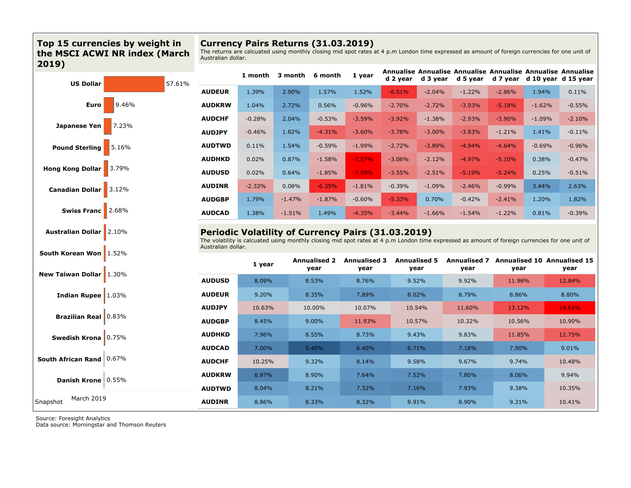# **Top 15 currencies by weight in the MSCI ACWI NR index (March 2019)**

# **Currency Pairs Returns (31.03.2019)**

The returns are calcuated using monthly closing mid spot rates at 4 p.m London time expressed as amount of foreign currencies for one unit of Australian dollar.

**AUDINR** 8.86% 8.33% 8.32% 8.91% 8.90% 9.31% 10.41%

8.32% 7.32%

8.91% 7.16% 10.35%

9.31% 9.38%

8.90% 7.93%

| <b>US Dollar</b>                 | 57.61% |                    | 1 month  | 3 month  | 6 month                     | 1 year                                                                                                                                                                                                       |          | d 2 year d 3 year           | Annualise Annualise Annualise Annualise Annualise Annualise<br>d 5 year |          |          | d 7 year d 10 year d 15 year               |
|----------------------------------|--------|--------------------|----------|----------|-----------------------------|--------------------------------------------------------------------------------------------------------------------------------------------------------------------------------------------------------------|----------|-----------------------------|-------------------------------------------------------------------------|----------|----------|--------------------------------------------|
|                                  |        | <b>AUDEUR</b>      | 1.39%    | 2.90%    | 1.57%                       | 1.52%                                                                                                                                                                                                        | $-6.01%$ | $-2.04%$                    | $-1.22%$                                                                | $-2.86%$ | 1.94%    | 0.11%                                      |
| Euro                             | 9.46%  | <b>AUDKRW</b>      | 1.04%    | 2.72%    | 0.56%                       | $-0.96%$                                                                                                                                                                                                     | $-2.70%$ | $-2.72%$                    | $-3.93%$                                                                | $-5.18%$ | $-1.62%$ | $-0.55%$                                   |
|                                  |        | <b>AUDCHF</b>      | $-0.28%$ | 2.04%    | $-0.53%$                    | $-3.59%$                                                                                                                                                                                                     | $-3.92%$ | $-1.38%$                    | $-2.93%$                                                                | $-3.90%$ | $-1.09%$ | $-2.10%$                                   |
| Japanese Yen                     | 7.23%  | <b>AUDJPY</b>      | $-0.46%$ | 1.82%    | $-4.31%$                    | $-3.60%$                                                                                                                                                                                                     | $-3.78%$ | $-3.00%$                    | $-3.83%$                                                                | $-1.21%$ | 1.41%    | $-0.11%$                                   |
| <b>Pound Sterling</b>            | 15.16% | <b>AUDTWD</b>      | 0.11%    | 1.54%    | $-0.59%$                    | $-1.99%$                                                                                                                                                                                                     | $-2.72%$ | $-3.89%$                    | $-4.94%$                                                                | $-4.64%$ | $-0.69%$ | $-0.96%$                                   |
|                                  |        | <b>AUDHKD</b>      | 0.02%    | 0.87%    | $-1.58%$                    | $-7.57%$                                                                                                                                                                                                     | $-3.06%$ | $-2.12%$                    | $-4.97%$                                                                | $-5.10%$ | 0.38%    | $-0.47%$                                   |
| Hong Kong Dollar 3.79%           |        | <b>AUDUSD</b>      | 0.02%    | 0.64%    | $-1.85%$                    | $-7.59%$                                                                                                                                                                                                     | $-3.55%$ | $-2.51%$                    | $-5.19%$                                                                | $-5.24%$ | 0.25%    | $-0.51%$                                   |
| Canadian Dollar 3.12%            |        | <b>AUDINR</b>      | $-2.32%$ | 0.08%    | $-6.35%$                    | $-1.81%$                                                                                                                                                                                                     | $-0.39%$ | $-1.09%$                    | $-2.46%$                                                                | $-0.99%$ | 3.44%    | 2.63%                                      |
|                                  |        | <b>AUDGBP</b>      | 1.79%    | $-1.47%$ | $-1.87%$                    | $-0.60%$                                                                                                                                                                                                     | $-5.33%$ | 0.70%                       | $-0.42%$                                                                | $-2.41%$ | 1.20%    | 1.82%                                      |
| Swiss Franc   2.68%              |        | <b>AUDCAD</b>      | 1.38%    | $-1.51%$ | 1.49%                       | $-4.35%$                                                                                                                                                                                                     | $-3.44%$ | $-1.66%$                    | $-1.54%$                                                                | $-1.22%$ | 0.81%    | $-0.39%$                                   |
| <b>Australian Dollar</b> 2.10%   |        | Australian dollar. |          |          |                             | <b>Periodic Volatility of Currency Pairs (31.03.2019)</b><br>The volatility is calcuated using monthly closing mid spot rates at 4 p.m London time expressed as amount of foreign currencies for one unit of |          |                             |                                                                         |          |          |                                            |
| South Korean Won   1.52%         |        |                    |          |          |                             |                                                                                                                                                                                                              |          |                             |                                                                         |          |          |                                            |
|                                  |        |                    | 1 year   |          | <b>Annualised 2</b><br>year | <b>Annualised 3</b><br>year                                                                                                                                                                                  |          | <b>Annualised 5</b><br>year | <b>Annualised 7</b><br>year                                             | year     |          | <b>Annualised 10 Annualised 15</b><br>year |
| <b>New Taiwan Dollar   1.30%</b> |        | <b>AUDUSD</b>      | 8.09%    |          | 8.53%                       | 8.76%                                                                                                                                                                                                        | 9.52%    |                             | 9.92%                                                                   | 11.98%   |          | 12.84%                                     |
| Indian Rupee $1.03\%$            |        | <b>AUDEUR</b>      | 9.20%    |          | 8.35%                       | 7.89%                                                                                                                                                                                                        |          | 8.02%                       | 8.79%                                                                   | 8.86%    |          | 8.80%                                      |
|                                  |        | <b>AUDJPY</b>      | 10.63%   |          | 10.00%                      | 10.07%                                                                                                                                                                                                       |          | 10.54%                      | 11.60%                                                                  | 13.12%   |          | 14.61%                                     |
| <b>Brazilian Real</b> 0.83%      |        | <b>AUDGBP</b>      | 8.45%    |          | 9.00%                       | 11.93%                                                                                                                                                                                                       |          | 10.57%                      | 10.32%                                                                  | 10.56%   |          | 10.90%                                     |
| Swedish Krona 0.75%              |        | <b>AUDHKD</b>      | 7.96%    |          | 8.55%                       | 8.73%                                                                                                                                                                                                        | 9.43%    |                             | 9.83%                                                                   | 11.85%   |          | 12.75%                                     |
|                                  |        | <b>AUDCAD</b>      | 7.00%    |          | 5.40%                       | 6.40%                                                                                                                                                                                                        |          | 6.71%                       | 7.18%                                                                   | 7.90%    |          | 9.01%                                      |
| South African Rand $0.67%$       |        | <b>AUDCHF</b>      | 10.25%   |          | 9.32%                       | 8.14%                                                                                                                                                                                                        |          | 9.58%                       | 9.67%                                                                   | 9.74%    |          | 10.48%                                     |

8.33% 8.21%

Source: Foresight Analytics

Snapshot March <sup>2019</sup>

Data source: Morningstar and Thomson Reuters

**AUDTWD**

8.86% 8.04%